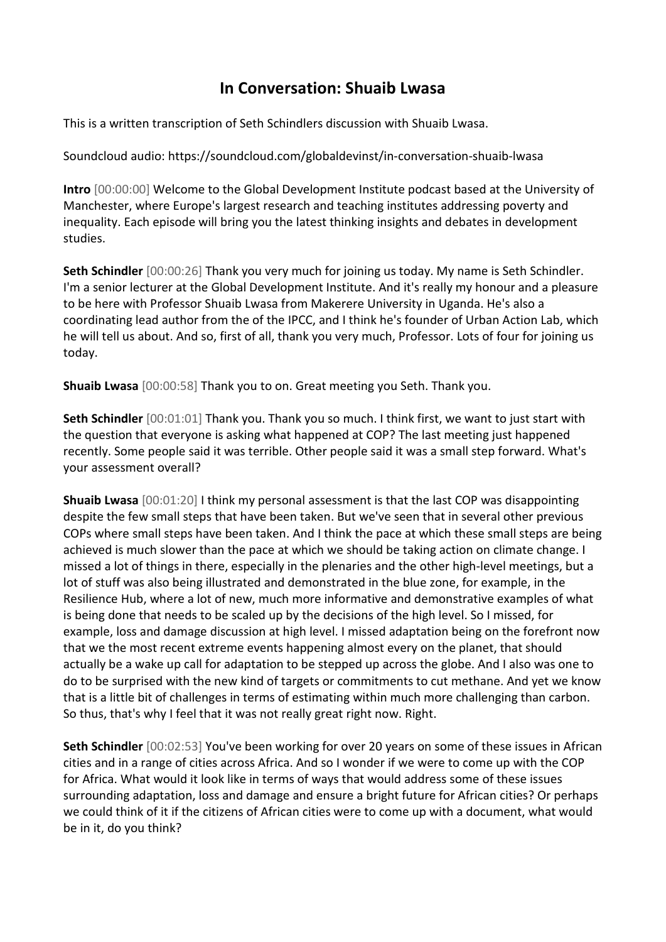## **In Conversation: Shuaib Lwasa**

This is a written transcription of Seth Schindlers discussion with Shuaib Lwasa.

Soundcloud audio: https://soundcloud.com/globaldevinst/in-conversation-shuaib-lwasa

**Intro** [00:00:00] Welcome to the Global Development Institute podcast based at the University of Manchester, where Europe's largest research and teaching institutes addressing poverty and inequality. Each episode will bring you the latest thinking insights and debates in development studies.

**Seth Schindler** [00:00:26] Thank you very much for joining us today. My name is Seth Schindler. I'm a senior lecturer at the Global Development Institute. And it's really my honour and a pleasure to be here with Professor Shuaib Lwasa from Makerere University in Uganda. He's also a coordinating lead author from the of the IPCC, and I think he's founder of Urban Action Lab, which he will tell us about. And so, first of all, thank you very much, Professor. Lots of four for joining us today.

**Shuaib Lwasa** [00:00:58] Thank you to on. Great meeting you Seth. Thank you.

**Seth Schindler** [00:01:01] Thank you. Thank you so much. I think first, we want to just start with the question that everyone is asking what happened at COP? The last meeting just happened recently. Some people said it was terrible. Other people said it was a small step forward. What's your assessment overall?

**Shuaib Lwasa** [00:01:20] I think my personal assessment is that the last COP was disappointing despite the few small steps that have been taken. But we've seen that in several other previous COPs where small steps have been taken. And I think the pace at which these small steps are being achieved is much slower than the pace at which we should be taking action on climate change. I missed a lot of things in there, especially in the plenaries and the other high-level meetings, but a lot of stuff was also being illustrated and demonstrated in the blue zone, for example, in the Resilience Hub, where a lot of new, much more informative and demonstrative examples of what is being done that needs to be scaled up by the decisions of the high level. So I missed, for example, loss and damage discussion at high level. I missed adaptation being on the forefront now that we the most recent extreme events happening almost every on the planet, that should actually be a wake up call for adaptation to be stepped up across the globe. And I also was one to do to be surprised with the new kind of targets or commitments to cut methane. And yet we know that is a little bit of challenges in terms of estimating within much more challenging than carbon. So thus, that's why I feel that it was not really great right now. Right.

**Seth Schindler** [00:02:53] You've been working for over 20 years on some of these issues in African cities and in a range of cities across Africa. And so I wonder if we were to come up with the COP for Africa. What would it look like in terms of ways that would address some of these issues surrounding adaptation, loss and damage and ensure a bright future for African cities? Or perhaps we could think of it if the citizens of African cities were to come up with a document, what would be in it, do you think?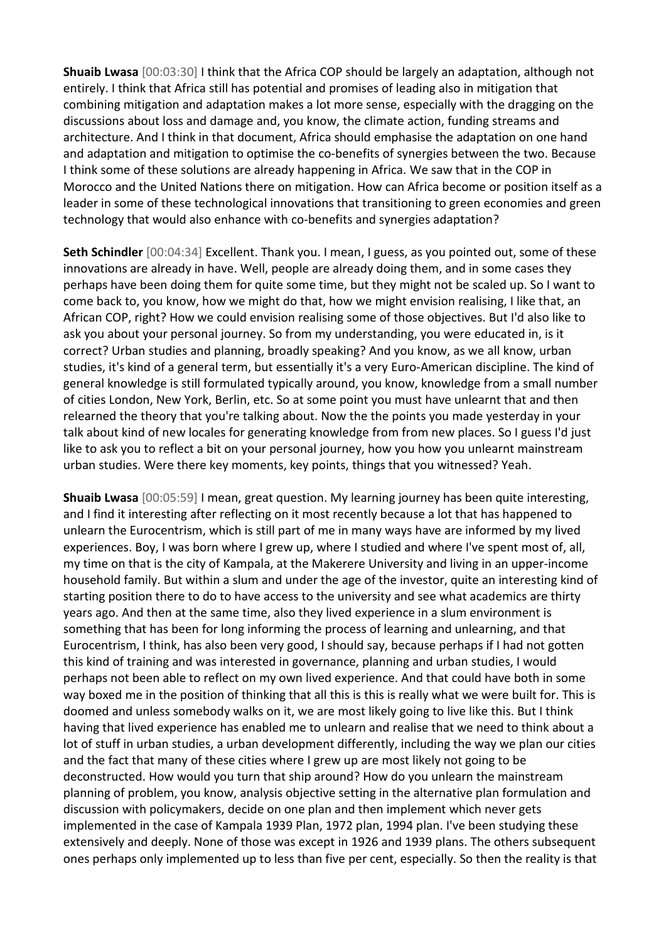**Shuaib Lwasa** [00:03:30] I think that the Africa COP should be largely an adaptation, although not entirely. I think that Africa still has potential and promises of leading also in mitigation that combining mitigation and adaptation makes a lot more sense, especially with the dragging on the discussions about loss and damage and, you know, the climate action, funding streams and architecture. And I think in that document, Africa should emphasise the adaptation on one hand and adaptation and mitigation to optimise the co-benefits of synergies between the two. Because I think some of these solutions are already happening in Africa. We saw that in the COP in Morocco and the United Nations there on mitigation. How can Africa become or position itself as a leader in some of these technological innovations that transitioning to green economies and green technology that would also enhance with co-benefits and synergies adaptation?

**Seth Schindler** [00:04:34] Excellent. Thank you. I mean, I guess, as you pointed out, some of these innovations are already in have. Well, people are already doing them, and in some cases they perhaps have been doing them for quite some time, but they might not be scaled up. So I want to come back to, you know, how we might do that, how we might envision realising, I like that, an African COP, right? How we could envision realising some of those objectives. But I'd also like to ask you about your personal journey. So from my understanding, you were educated in, is it correct? Urban studies and planning, broadly speaking? And you know, as we all know, urban studies, it's kind of a general term, but essentially it's a very Euro-American discipline. The kind of general knowledge is still formulated typically around, you know, knowledge from a small number of cities London, New York, Berlin, etc. So at some point you must have unlearnt that and then relearned the theory that you're talking about. Now the the points you made yesterday in your talk about kind of new locales for generating knowledge from from new places. So I guess I'd just like to ask you to reflect a bit on your personal journey, how you how you unlearnt mainstream urban studies. Were there key moments, key points, things that you witnessed? Yeah.

**Shuaib Lwasa** [00:05:59] I mean, great question. My learning journey has been quite interesting, and I find it interesting after reflecting on it most recently because a lot that has happened to unlearn the Eurocentrism, which is still part of me in many ways have are informed by my lived experiences. Boy, I was born where I grew up, where I studied and where I've spent most of, all, my time on that is the city of Kampala, at the Makerere University and living in an upper-income household family. But within a slum and under the age of the investor, quite an interesting kind of starting position there to do to have access to the university and see what academics are thirty years ago. And then at the same time, also they lived experience in a slum environment is something that has been for long informing the process of learning and unlearning, and that Eurocentrism, I think, has also been very good, I should say, because perhaps if I had not gotten this kind of training and was interested in governance, planning and urban studies, I would perhaps not been able to reflect on my own lived experience. And that could have both in some way boxed me in the position of thinking that all this is this is really what we were built for. This is doomed and unless somebody walks on it, we are most likely going to live like this. But I think having that lived experience has enabled me to unlearn and realise that we need to think about a lot of stuff in urban studies, a urban development differently, including the way we plan our cities and the fact that many of these cities where I grew up are most likely not going to be deconstructed. How would you turn that ship around? How do you unlearn the mainstream planning of problem, you know, analysis objective setting in the alternative plan formulation and discussion with policymakers, decide on one plan and then implement which never gets implemented in the case of Kampala 1939 Plan, 1972 plan, 1994 plan. I've been studying these extensively and deeply. None of those was except in 1926 and 1939 plans. The others subsequent ones perhaps only implemented up to less than five per cent, especially. So then the reality is that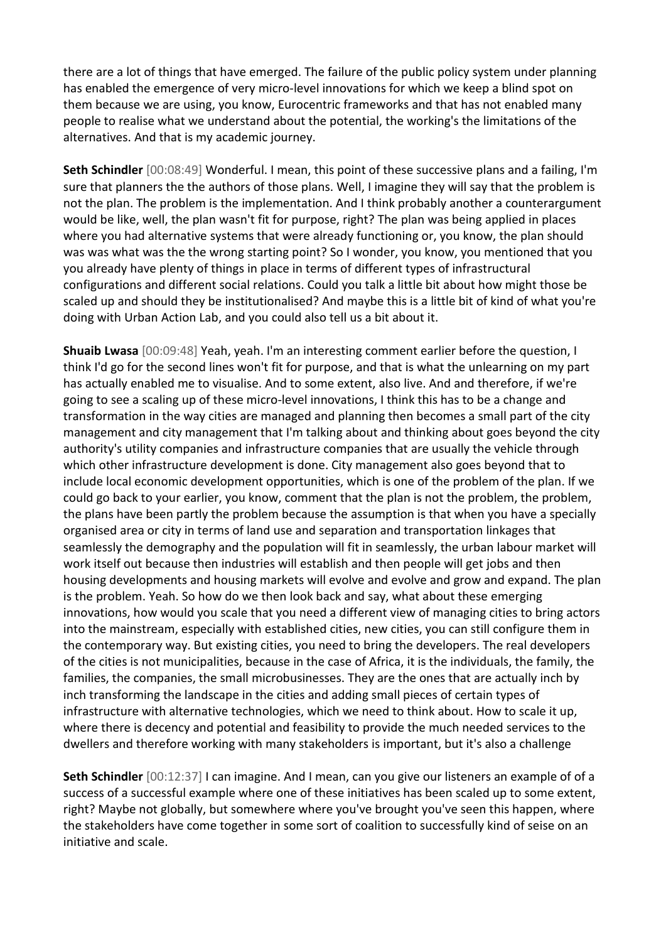there are a lot of things that have emerged. The failure of the public policy system under planning has enabled the emergence of very micro-level innovations for which we keep a blind spot on them because we are using, you know, Eurocentric frameworks and that has not enabled many people to realise what we understand about the potential, the working's the limitations of the alternatives. And that is my academic journey.

**Seth Schindler** [00:08:49] Wonderful. I mean, this point of these successive plans and a failing, I'm sure that planners the the authors of those plans. Well, I imagine they will say that the problem is not the plan. The problem is the implementation. And I think probably another a counterargument would be like, well, the plan wasn't fit for purpose, right? The plan was being applied in places where you had alternative systems that were already functioning or, you know, the plan should was was what was the the wrong starting point? So I wonder, you know, you mentioned that you you already have plenty of things in place in terms of different types of infrastructural configurations and different social relations. Could you talk a little bit about how might those be scaled up and should they be institutionalised? And maybe this is a little bit of kind of what you're doing with Urban Action Lab, and you could also tell us a bit about it.

**Shuaib Lwasa** [00:09:48] Yeah, yeah. I'm an interesting comment earlier before the question, I think I'd go for the second lines won't fit for purpose, and that is what the unlearning on my part has actually enabled me to visualise. And to some extent, also live. And and therefore, if we're going to see a scaling up of these micro-level innovations, I think this has to be a change and transformation in the way cities are managed and planning then becomes a small part of the city management and city management that I'm talking about and thinking about goes beyond the city authority's utility companies and infrastructure companies that are usually the vehicle through which other infrastructure development is done. City management also goes beyond that to include local economic development opportunities, which is one of the problem of the plan. If we could go back to your earlier, you know, comment that the plan is not the problem, the problem, the plans have been partly the problem because the assumption is that when you have a specially organised area or city in terms of land use and separation and transportation linkages that seamlessly the demography and the population will fit in seamlessly, the urban labour market will work itself out because then industries will establish and then people will get jobs and then housing developments and housing markets will evolve and evolve and grow and expand. The plan is the problem. Yeah. So how do we then look back and say, what about these emerging innovations, how would you scale that you need a different view of managing cities to bring actors into the mainstream, especially with established cities, new cities, you can still configure them in the contemporary way. But existing cities, you need to bring the developers. The real developers of the cities is not municipalities, because in the case of Africa, it is the individuals, the family, the families, the companies, the small microbusinesses. They are the ones that are actually inch by inch transforming the landscape in the cities and adding small pieces of certain types of infrastructure with alternative technologies, which we need to think about. How to scale it up, where there is decency and potential and feasibility to provide the much needed services to the dwellers and therefore working with many stakeholders is important, but it's also a challenge

**Seth Schindler** [00:12:37] I can imagine. And I mean, can you give our listeners an example of of a success of a successful example where one of these initiatives has been scaled up to some extent, right? Maybe not globally, but somewhere where you've brought you've seen this happen, where the stakeholders have come together in some sort of coalition to successfully kind of seise on an initiative and scale.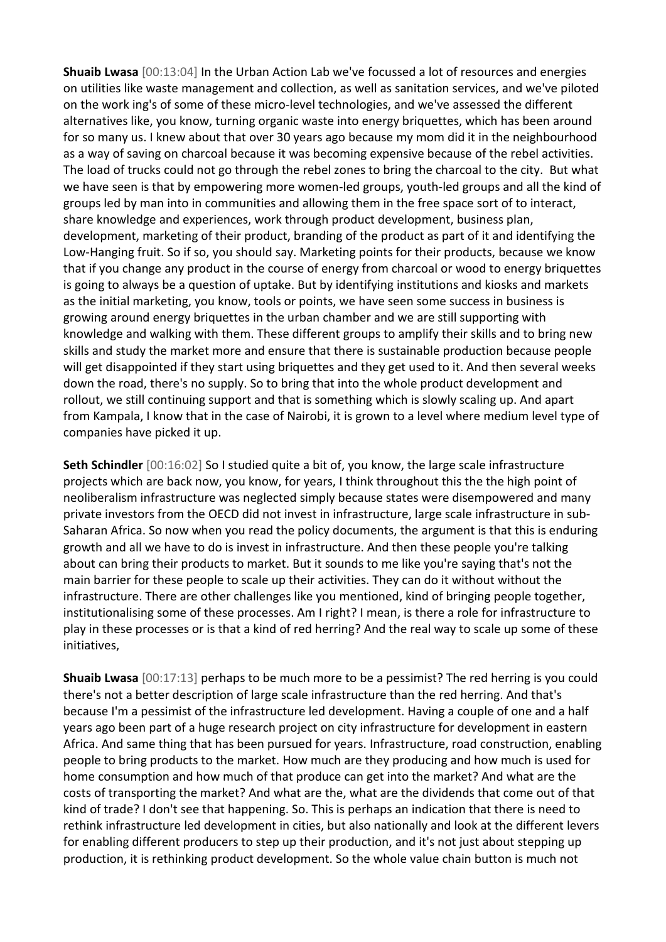**Shuaib Lwasa** [00:13:04] In the Urban Action Lab we've focussed a lot of resources and energies on utilities like waste management and collection, as well as sanitation services, and we've piloted on the work ing's of some of these micro-level technologies, and we've assessed the different alternatives like, you know, turning organic waste into energy briquettes, which has been around for so many us. I knew about that over 30 years ago because my mom did it in the neighbourhood as a way of saving on charcoal because it was becoming expensive because of the rebel activities. The load of trucks could not go through the rebel zones to bring the charcoal to the city. But what we have seen is that by empowering more women-led groups, youth-led groups and all the kind of groups led by man into in communities and allowing them in the free space sort of to interact, share knowledge and experiences, work through product development, business plan, development, marketing of their product, branding of the product as part of it and identifying the Low-Hanging fruit. So if so, you should say. Marketing points for their products, because we know that if you change any product in the course of energy from charcoal or wood to energy briquettes is going to always be a question of uptake. But by identifying institutions and kiosks and markets as the initial marketing, you know, tools or points, we have seen some success in business is growing around energy briquettes in the urban chamber and we are still supporting with knowledge and walking with them. These different groups to amplify their skills and to bring new skills and study the market more and ensure that there is sustainable production because people will get disappointed if they start using briquettes and they get used to it. And then several weeks down the road, there's no supply. So to bring that into the whole product development and rollout, we still continuing support and that is something which is slowly scaling up. And apart from Kampala, I know that in the case of Nairobi, it is grown to a level where medium level type of companies have picked it up.

**Seth Schindler** [00:16:02] So I studied quite a bit of, you know, the large scale infrastructure projects which are back now, you know, for years, I think throughout this the the high point of neoliberalism infrastructure was neglected simply because states were disempowered and many private investors from the OECD did not invest in infrastructure, large scale infrastructure in sub-Saharan Africa. So now when you read the policy documents, the argument is that this is enduring growth and all we have to do is invest in infrastructure. And then these people you're talking about can bring their products to market. But it sounds to me like you're saying that's not the main barrier for these people to scale up their activities. They can do it without without the infrastructure. There are other challenges like you mentioned, kind of bringing people together, institutionalising some of these processes. Am I right? I mean, is there a role for infrastructure to play in these processes or is that a kind of red herring? And the real way to scale up some of these initiatives,

**Shuaib Lwasa** [00:17:13] perhaps to be much more to be a pessimist? The red herring is you could there's not a better description of large scale infrastructure than the red herring. And that's because I'm a pessimist of the infrastructure led development. Having a couple of one and a half years ago been part of a huge research project on city infrastructure for development in eastern Africa. And same thing that has been pursued for years. Infrastructure, road construction, enabling people to bring products to the market. How much are they producing and how much is used for home consumption and how much of that produce can get into the market? And what are the costs of transporting the market? And what are the, what are the dividends that come out of that kind of trade? I don't see that happening. So. This is perhaps an indication that there is need to rethink infrastructure led development in cities, but also nationally and look at the different levers for enabling different producers to step up their production, and it's not just about stepping up production, it is rethinking product development. So the whole value chain button is much not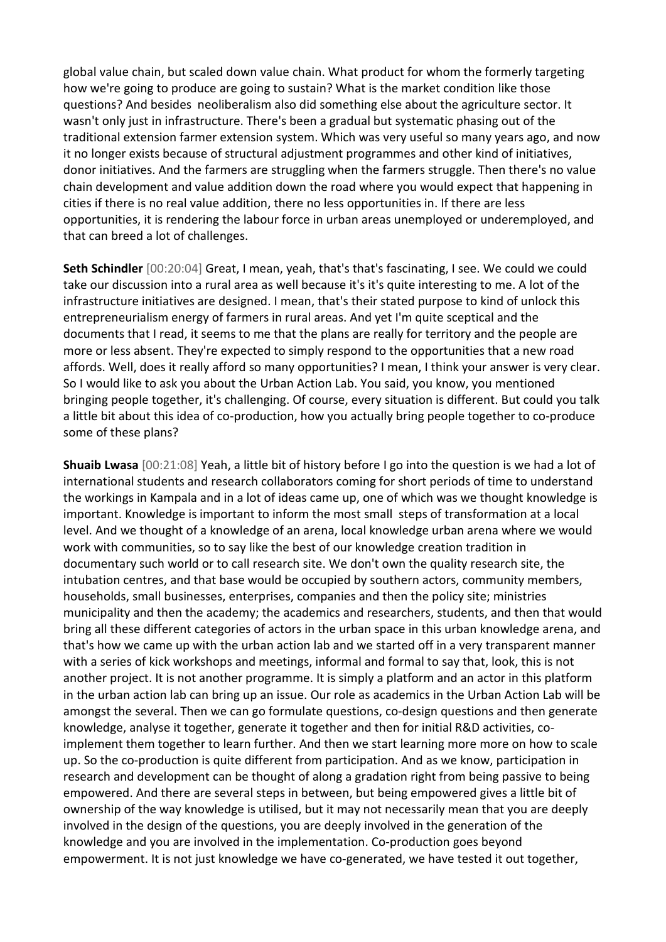global value chain, but scaled down value chain. What product for whom the formerly targeting how we're going to produce are going to sustain? What is the market condition like those questions? And besides neoliberalism also did something else about the agriculture sector. It wasn't only just in infrastructure. There's been a gradual but systematic phasing out of the traditional extension farmer extension system. Which was very useful so many years ago, and now it no longer exists because of structural adjustment programmes and other kind of initiatives, donor initiatives. And the farmers are struggling when the farmers struggle. Then there's no value chain development and value addition down the road where you would expect that happening in cities if there is no real value addition, there no less opportunities in. If there are less opportunities, it is rendering the labour force in urban areas unemployed or underemployed, and that can breed a lot of challenges.

**Seth Schindler** [00:20:04] Great, I mean, yeah, that's that's fascinating, I see. We could we could take our discussion into a rural area as well because it's it's quite interesting to me. A lot of the infrastructure initiatives are designed. I mean, that's their stated purpose to kind of unlock this entrepreneurialism energy of farmers in rural areas. And yet I'm quite sceptical and the documents that I read, it seems to me that the plans are really for territory and the people are more or less absent. They're expected to simply respond to the opportunities that a new road affords. Well, does it really afford so many opportunities? I mean, I think your answer is very clear. So I would like to ask you about the Urban Action Lab. You said, you know, you mentioned bringing people together, it's challenging. Of course, every situation is different. But could you talk a little bit about this idea of co-production, how you actually bring people together to co-produce some of these plans?

**Shuaib Lwasa** [00:21:08] Yeah, a little bit of history before I go into the question is we had a lot of international students and research collaborators coming for short periods of time to understand the workings in Kampala and in a lot of ideas came up, one of which was we thought knowledge is important. Knowledge is important to inform the most small steps of transformation at a local level. And we thought of a knowledge of an arena, local knowledge urban arena where we would work with communities, so to say like the best of our knowledge creation tradition in documentary such world or to call research site. We don't own the quality research site, the intubation centres, and that base would be occupied by southern actors, community members, households, small businesses, enterprises, companies and then the policy site; ministries municipality and then the academy; the academics and researchers, students, and then that would bring all these different categories of actors in the urban space in this urban knowledge arena, and that's how we came up with the urban action lab and we started off in a very transparent manner with a series of kick workshops and meetings, informal and formal to say that, look, this is not another project. It is not another programme. It is simply a platform and an actor in this platform in the urban action lab can bring up an issue. Our role as academics in the Urban Action Lab will be amongst the several. Then we can go formulate questions, co-design questions and then generate knowledge, analyse it together, generate it together and then for initial R&D activities, coimplement them together to learn further. And then we start learning more more on how to scale up. So the co-production is quite different from participation. And as we know, participation in research and development can be thought of along a gradation right from being passive to being empowered. And there are several steps in between, but being empowered gives a little bit of ownership of the way knowledge is utilised, but it may not necessarily mean that you are deeply involved in the design of the questions, you are deeply involved in the generation of the knowledge and you are involved in the implementation. Co-production goes beyond empowerment. It is not just knowledge we have co-generated, we have tested it out together,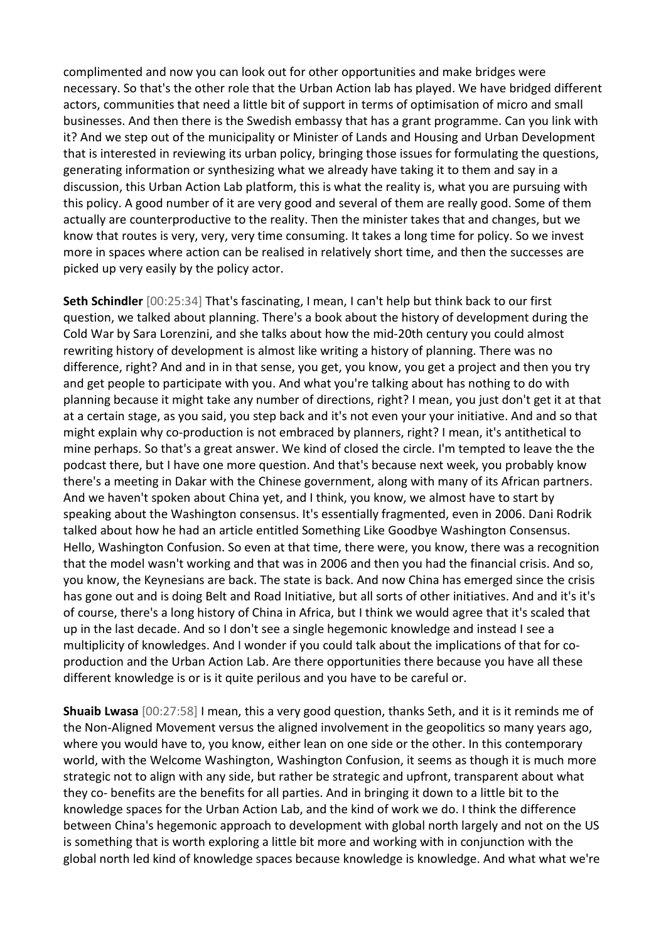complimented and now you can look out for other opportunities and make bridges were necessary. So that's the other role that the Urban Action lab has played. We have bridged different actors, communities that need a little bit of support in terms of optimisation of micro and small businesses. And then there is the Swedish embassy that has a grant programme. Can you link with it? And we step out of the municipality or Minister of Lands and Housing and Urban Development that is interested in reviewing its urban policy, bringing those issues for formulating the questions, generating information or synthesizing what we already have taking it to them and say in a discussion, this Urban Action Lab platform, this is what the reality is, what you are pursuing with this policy. A good number of it are very good and several of them are really good. Some of them actually are counterproductive to the reality. Then the minister takes that and changes, but we know that routes is very, very, very time consuming. It takes a long time for policy. So we invest more in spaces where action can be realised in relatively short time, and then the successes are picked up very easily by the policy actor.

**Seth Schindler** [00:25:34] That's fascinating, I mean, I can't help but think back to our first question, we talked about planning. There's a book about the history of development during the Cold War by Sara Lorenzini, and she talks about how the mid-20th century you could almost rewriting history of development is almost like writing a history of planning. There was no difference, right? And and in in that sense, you get, you know, you get a project and then you try and get people to participate with you. And what you're talking about has nothing to do with planning because it might take any number of directions, right? I mean, you just don't get it at that at a certain stage, as you said, you step back and it's not even your your initiative. And and so that might explain why co-production is not embraced by planners, right? I mean, it's antithetical to mine perhaps. So that's a great answer. We kind of closed the circle. I'm tempted to leave the the podcast there, but I have one more question. And that's because next week, you probably know there's a meeting in Dakar with the Chinese government, along with many of its African partners. And we haven't spoken about China yet, and I think, you know, we almost have to start by speaking about the Washington consensus. It's essentially fragmented, even in 2006. Dani Rodrik talked about how he had an article entitled Something Like Goodbye Washington Consensus. Hello, Washington Confusion. So even at that time, there were, you know, there was a recognition that the model wasn't working and that was in 2006 and then you had the financial crisis. And so, you know, the Keynesians are back. The state is back. And now China has emerged since the crisis has gone out and is doing Belt and Road Initiative, but all sorts of other initiatives. And and it's it's of course, there's a long history of China in Africa, but I think we would agree that it's scaled that up in the last decade. And so I don't see a single hegemonic knowledge and instead I see a multiplicity of knowledges. And I wonder if you could talk about the implications of that for coproduction and the Urban Action Lab. Are there opportunities there because you have all these different knowledge is or is it quite perilous and you have to be careful or.

**Shuaib Lwasa** [00:27:58] I mean, this a very good question, thanks Seth, and it is it reminds me of the Non-Aligned Movement versus the aligned involvement in the geopolitics so many years ago, where you would have to, you know, either lean on one side or the other. In this contemporary world, with the Welcome Washington, Washington Confusion, it seems as though it is much more strategic not to align with any side, but rather be strategic and upfront, transparent about what they co- benefits are the benefits for all parties. And in bringing it down to a little bit to the knowledge spaces for the Urban Action Lab, and the kind of work we do. I think the difference between China's hegemonic approach to development with global north largely and not on the US is something that is worth exploring a little bit more and working with in conjunction with the global north led kind of knowledge spaces because knowledge is knowledge. And what what we're